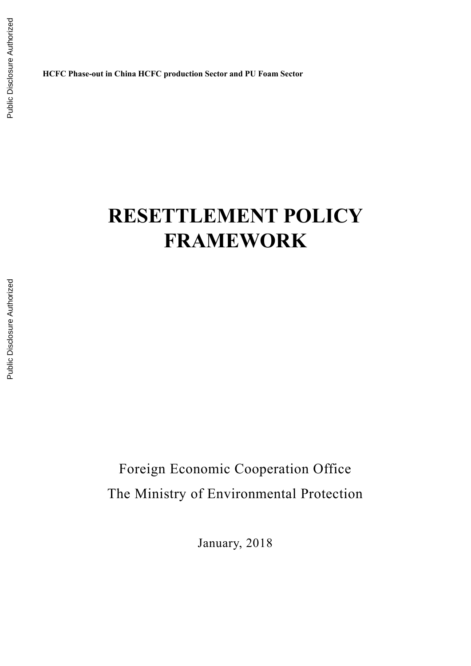**HCFC Phase-out in China HCFC production Sector and PU Foam Sector**

# **RESETTLEMENT POLICY FRAMEWORK**

Foreign Economic Cooperation Office The Ministry of Environmental Protection

January, 2018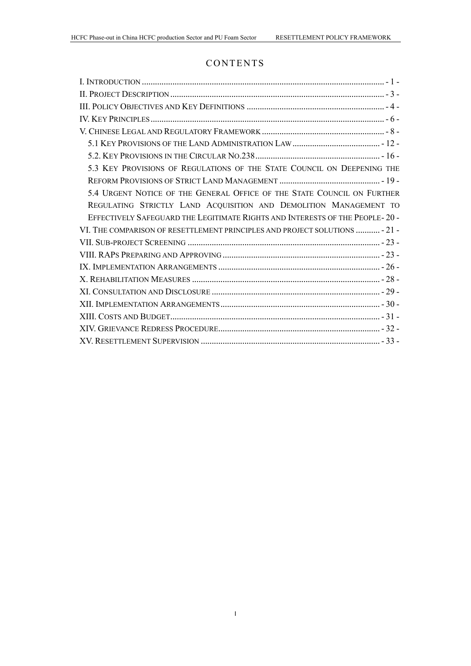### CONTENTS

| 5.3 KEY PROVISIONS OF REGULATIONS OF THE STATE COUNCIL ON DEEPENING THE      |
|------------------------------------------------------------------------------|
|                                                                              |
| 5.4 URGENT NOTICE OF THE GENERAL OFFICE OF THE STATE COUNCIL ON FURTHER      |
| REGULATING STRICTLY LAND ACQUISITION AND DEMOLITION MANAGEMENT TO            |
| EFFECTIVELY SAFEGUARD THE LEGITIMATE RIGHTS AND INTERESTS OF THE PEOPLE-20 - |
| VI. THE COMPARISON OF RESETTLEMENT PRINCIPLES AND PROJECT SOLUTIONS  - 21 -  |
|                                                                              |
|                                                                              |
|                                                                              |
|                                                                              |
|                                                                              |
|                                                                              |
|                                                                              |
|                                                                              |
|                                                                              |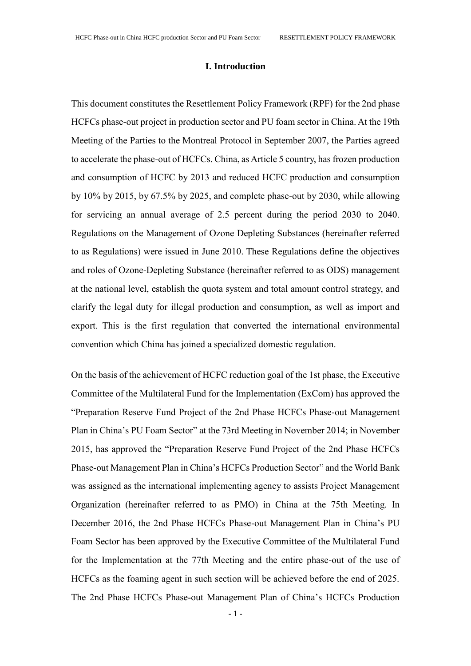### **I. Introduction**

<span id="page-3-0"></span>This document constitutes the Resettlement Policy Framework (RPF) for the 2nd phase HCFCs phase-out project in production sector and PU foam sector in China. At the 19th Meeting of the Parties to the Montreal Protocol in September 2007, the Parties agreed to accelerate the phase-out of HCFCs. China, as Article 5 country, has frozen production and consumption of HCFC by 2013 and reduced HCFC production and consumption by 10% by 2015, by 67.5% by 2025, and complete phase-out by 2030, while allowing for servicing an annual average of 2.5 percent during the period 2030 to 2040. Regulations on the Management of Ozone Depleting Substances (hereinafter referred to as Regulations) were issued in June 2010. These Regulations define the objectives and roles of Ozone-Depleting Substance (hereinafter referred to as ODS) management at the national level, establish the quota system and total amount control strategy, and clarify the legal duty for illegal production and consumption, as well as import and export. This is the first regulation that converted the international environmental convention which China has joined a specialized domestic regulation.

On the basis of the achievement of HCFC reduction goal of the 1st phase, the [Executive](http://climate-l.iisd.org/news/executive-committee-of-the-multilateral-fund-for-the-implementation-of-the-montreal-protocol-considers-costs-associated-with-climate-benefits/)  [Committee of the Multilateral Fund for the Implementation \(E](http://climate-l.iisd.org/news/executive-committee-of-the-multilateral-fund-for-the-implementation-of-the-montreal-protocol-considers-costs-associated-with-climate-benefits/)xCom) has approved the "Preparation Reserve Fund Project of the 2nd Phase HCFCs Phase-out Management Plan in China's PU Foam Sector" at the 73rd Meeting in November 2014; in November 2015, has approved the "Preparation Reserve Fund Project of the 2nd Phase HCFCs Phase-out Management Plan in China's HCFCs Production Sector" and the World Bank was assigned as the international implementing agency to assists Project Management Organization (hereinafter referred to as PMO) in China at the 75th Meeting. In December 2016, the 2nd Phase HCFCs Phase-out Management Plan in China's PU Foam Sector has been approved by the Executive Committee of the Multilateral Fund for the Implementation at the 77th Meeting and the entire phase-out of the use of HCFCs as the foaming agent in such section will be achieved before the end of 2025. The 2nd Phase HCFCs Phase-out Management Plan of China's HCFCs Production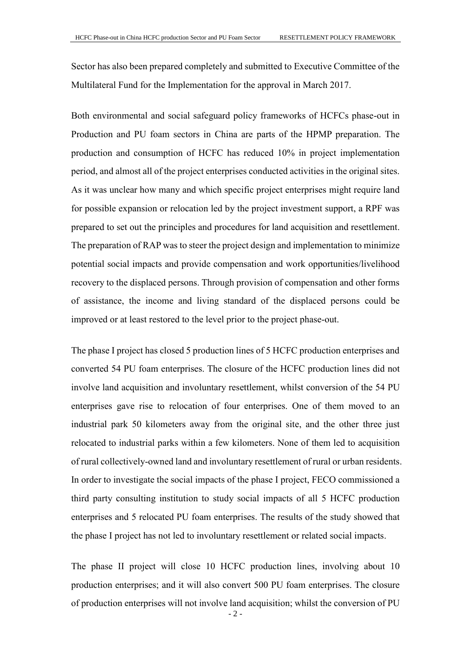Sector has also been prepared completely and submitted to Executive Committee of the Multilateral Fund for the Implementation for the approval in March 2017.

Both environmental and social safeguard policy frameworks of HCFCs phase-out in Production and PU foam sectors in China are parts of the HPMP preparation. The production and consumption of HCFC has reduced 10% in project implementation period, and almost all of the project enterprises conducted activities in the original sites. As it was unclear how many and which specific project enterprises might require land for possible expansion or relocation led by the project investment support, a RPF was prepared to set out the principles and procedures for land acquisition and resettlement. The preparation of RAP was to steer the project design and implementation to minimize potential social impacts and provide compensation and work opportunities/livelihood recovery to the displaced persons. Through provision of compensation and other forms of assistance, the income and living standard of the displaced persons could be improved or at least restored to the level prior to the project phase-out.

The phase I project has closed 5 production lines of 5 HCFC production enterprises and converted 54 PU foam enterprises. The closure of the HCFC production lines did not involve land acquisition and involuntary resettlement, whilst conversion of the 54 PU enterprises gave rise to relocation of four enterprises. One of them moved to an industrial park 50 kilometers away from the original site, and the other three just relocated to industrial parks within a few kilometers. None of them led to acquisition of rural collectively-owned land and involuntary resettlement of rural or urban residents. In order to investigate the social impacts of the phase I project, FECO commissioned a third party consulting institution to study social impacts of all 5 HCFC production enterprises and 5 relocated PU foam enterprises. The results of the study showed that the phase I project has not led to involuntary resettlement or related social impacts.

The phase II project will close 10 HCFC production lines, involving about 10 production enterprises; and it will also convert 500 PU foam enterprises. The closure of production enterprises will not involve land acquisition; whilst the conversion of PU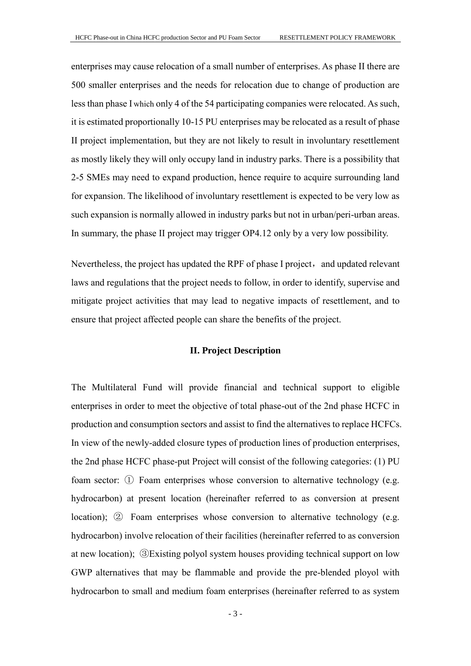enterprises may cause relocation of a small number of enterprises. As phase II there are 500 smaller enterprises and the needs for relocation due to change of production are less than phase I which only 4 of the 54 participating companies were relocated. As such, it is estimated proportionally 10-15 PU enterprises may be relocated as a result of phase II project implementation, but they are not likely to result in involuntary resettlement as mostly likely they will only occupy land in industry parks. There is a possibility that 2-5 SMEs may need to expand production, hence require to acquire surrounding land for expansion. The likelihood of involuntary resettlement is expected to be very low as such expansion is normally allowed in industry parks but not in urban/peri-urban areas. In summary, the phase II project may trigger OP4.12 only by a very low possibility.

Nevertheless, the project has updated the RPF of phase I project, and updated relevant laws and regulations that the project needs to follow, in order to identify, supervise and mitigate project activities that may lead to negative impacts of resettlement, and to ensure that project affected people can share the benefits of the project.

### **II. Project Description**

<span id="page-5-0"></span>The Multilateral Fund will provide financial and technical support to eligible enterprises in order to meet the objective of total phase-out of the 2nd phase HCFC in production and consumption sectors and assist to find the alternatives to replace HCFCs. In view of the newly-added closure types of production lines of production enterprises, the 2nd phase HCFC phase-put Project will consist of the following categories: (1) PU foam sector: ① Foam enterprises whose conversion to alternative technology (e.g. hydrocarbon) at present location (hereinafter referred to as conversion at present location); ② Foam enterprises whose conversion to alternative technology (e.g. hydrocarbon) involve relocation of their facilities (hereinafter referred to as conversion at new location); ③Existing polyol system houses providing technical support on low GWP alternatives that may be flammable and provide the pre-blended ployol with hydrocarbon to small and medium foam enterprises (hereinafter referred to as system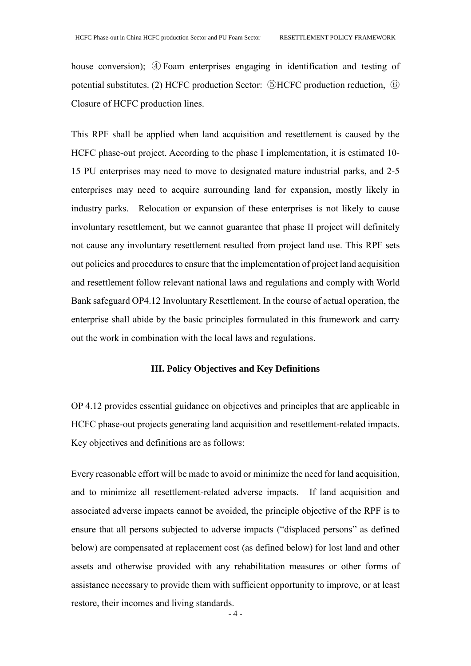house conversion);  $\Phi$  Foam enterprises engaging in identification and testing of potential substitutes. (2) HCFC production Sector: ⑤HCFC production reduction, ⑥ Closure of HCFC production lines.

This RPF shall be applied when land acquisition and resettlement is caused by the HCFC phase-out project. According to the phase I implementation, it is estimated 10- 15 PU enterprises may need to move to designated mature industrial parks, and 2-5 enterprises may need to acquire surrounding land for expansion, mostly likely in industry parks. Relocation or expansion of these enterprises is not likely to cause involuntary resettlement, but we cannot guarantee that phase II project will definitely not cause any involuntary resettlement resulted from project land use. This RPF sets out policies and procedures to ensure that the implementation of project land acquisition and resettlement follow relevant national laws and regulations and comply with World Bank safeguard OP4.12 Involuntary Resettlement. In the course of actual operation, the enterprise shall abide by the basic principles formulated in this framework and carry out the work in combination with the local laws and regulations.

### **III. Policy Objectives and Key Definitions**

<span id="page-6-0"></span>OP 4.12 provides essential guidance on objectives and principles that are applicable in HCFC phase-out projects generating land acquisition and resettlement-related impacts. Key objectives and definitions are as follows:

Every reasonable effort will be made to avoid or minimize the need for land acquisition, and to minimize all resettlement-related adverse impacts. If land acquisition and associated adverse impacts cannot be avoided, the principle objective of the RPF is to ensure that all persons subjected to adverse impacts ("displaced persons" as defined below) are compensated at replacement cost (as defined below) for lost land and other assets and otherwise provided with any rehabilitation measures or other forms of assistance necessary to provide them with sufficient opportunity to improve, or at least restore, their incomes and living standards.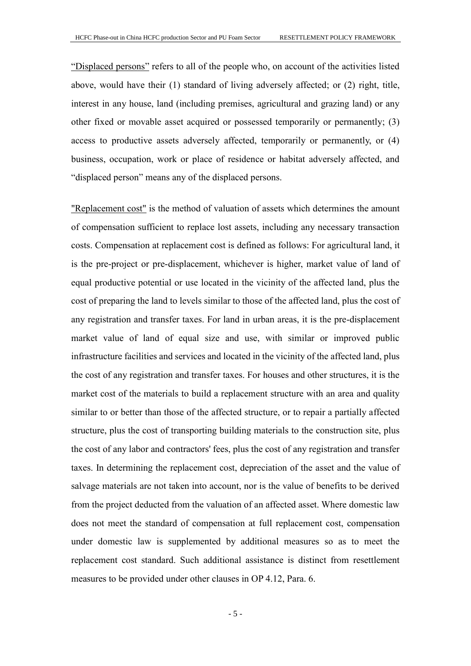"Displaced persons" refers to all of the people who, on account of the activities listed above, would have their (1) standard of living adversely affected; or (2) right, title, interest in any house, land (including premises, agricultural and grazing land) or any other fixed or movable asset acquired or possessed temporarily or permanently; (3) access to productive assets adversely affected, temporarily or permanently, or (4) business, occupation, work or place of residence or habitat adversely affected, and "displaced person" means any of the displaced persons.

"Replacement cost" is the method of valuation of assets which determines the amount of compensation sufficient to replace lost assets, including any necessary transaction costs. Compensation at replacement cost is defined as follows: For agricultural land, it is the pre-project or pre-displacement, whichever is higher, market value of land of equal productive potential or use located in the vicinity of the affected land, plus the cost of preparing the land to levels similar to those of the affected land, plus the cost of any registration and transfer taxes. For land in urban areas, it is the pre-displacement market value of land of equal size and use, with similar or improved public infrastructure facilities and services and located in the vicinity of the affected land, plus the cost of any registration and transfer taxes. For houses and other structures, it is the market cost of the materials to build a replacement structure with an area and quality similar to or better than those of the affected structure, or to repair a partially affected structure, plus the cost of transporting building materials to the construction site, plus the cost of any labor and contractors' fees, plus the cost of any registration and transfer taxes. In determining the replacement cost, depreciation of the asset and the value of salvage materials are not taken into account, nor is the value of benefits to be derived from the project deducted from the valuation of an affected asset. Where domestic law does not meet the standard of compensation at full replacement cost, compensation under domestic law is supplemented by additional measures so as to meet the replacement cost standard. Such additional assistance is distinct from resettlement measures to be provided under other clauses in OP 4.12, Para. 6.

- 5 -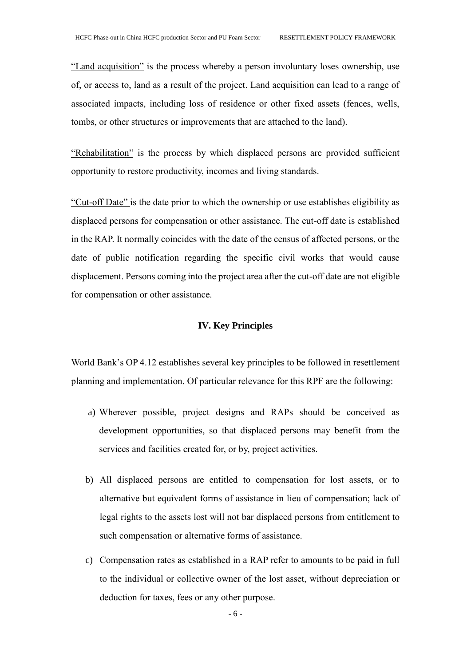"Land acquisition" is the process whereby a person involuntary loses ownership, use of, or access to, land as a result of the project. Land acquisition can lead to a range of associated impacts, including loss of residence or other fixed assets (fences, wells, tombs, or other structures or improvements that are attached to the land).

"Rehabilitation" is the process by which displaced persons are provided sufficient opportunity to restore productivity, incomes and living standards.

"Cut-off Date" is the date prior to which the ownership or use establishes eligibility as displaced persons for compensation or other assistance. The cut-off date is established in the RAP. It normally coincides with the date of the census of affected persons, or the date of public notification regarding the specific civil works that would cause displacement. Persons coming into the project area after the cut-off date are not eligible for compensation or other assistance.

### **IV. Key Principles**

<span id="page-8-0"></span>World Bank's OP 4.12 establishes several key principles to be followed in resettlement planning and implementation. Of particular relevance for this RPF are the following:

- a) Wherever possible, project designs and RAPs should be conceived as development opportunities, so that displaced persons may benefit from the services and facilities created for, or by, project activities.
- b) All displaced persons are entitled to compensation for lost assets, or to alternative but equivalent forms of assistance in lieu of compensation; lack of legal rights to the assets lost will not bar displaced persons from entitlement to such compensation or alternative forms of assistance.
- c) Compensation rates as established in a RAP refer to amounts to be paid in full to the individual or collective owner of the lost asset, without depreciation or deduction for taxes, fees or any other purpose.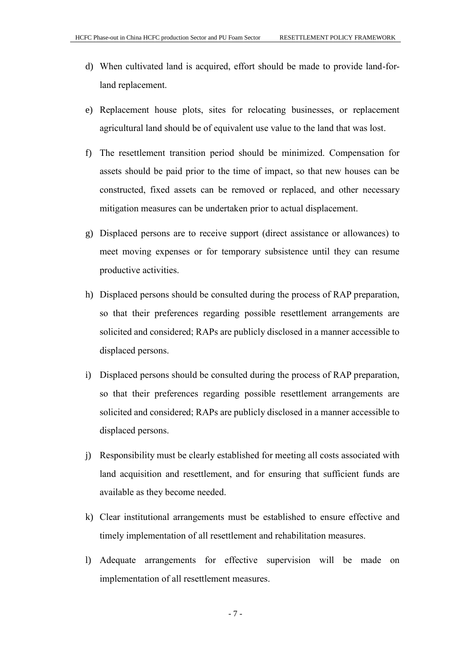- d) When cultivated land is acquired, effort should be made to provide land-forland replacement.
- e) Replacement house plots, sites for relocating businesses, or replacement agricultural land should be of equivalent use value to the land that was lost.
- f) The resettlement transition period should be minimized. Compensation for assets should be paid prior to the time of impact, so that new houses can be constructed, fixed assets can be removed or replaced, and other necessary mitigation measures can be undertaken prior to actual displacement.
- g) Displaced persons are to receive support (direct assistance or allowances) to meet moving expenses or for temporary subsistence until they can resume productive activities.
- h) Displaced persons should be consulted during the process of RAP preparation, so that their preferences regarding possible resettlement arrangements are solicited and considered; RAPs are publicly disclosed in a manner accessible to displaced persons.
- i) Displaced persons should be consulted during the process of RAP preparation, so that their preferences regarding possible resettlement arrangements are solicited and considered; RAPs are publicly disclosed in a manner accessible to displaced persons.
- j) Responsibility must be clearly established for meeting all costs associated with land acquisition and resettlement, and for ensuring that sufficient funds are available as they become needed.
- k) Clear institutional arrangements must be established to ensure effective and timely implementation of all resettlement and rehabilitation measures.
- l) Adequate arrangements for effective supervision will be made on implementation of all resettlement measures.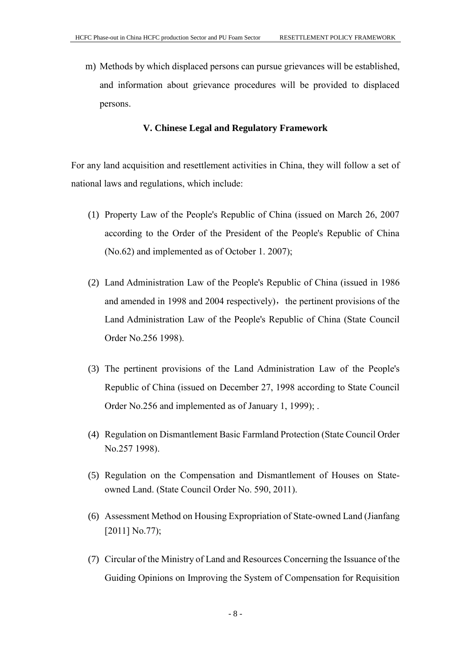m) Methods by which displaced persons can pursue grievances will be established, and information about grievance procedures will be provided to displaced persons.

#### **V. Chinese Legal and Regulatory Framework**

<span id="page-10-0"></span>For any land acquisition and resettlement activities in China, they will follow a set of national laws and regulations, which include:

- (1) Property Law of the People's Republic of China (issued on March 26, 2007 according to the Order of the President of the People's Republic of China (No.62) and implemented as of October 1. 2007);
- (2) Land Administration Law of the People's Republic of China (issued in 1986 and amended in 1998 and 2004 respectively), the pertinent provisions of the Land Administration Law of the People's Republic of China (State Council Order No.256 1998).
- (3) The pertinent provisions of the Land Administration Law of the People's Republic of China (issued on December 27, 1998 according to State Council Order No.256 and implemented as of January 1, 1999); .
- (4) Regulation on Dismantlement Basic Farmland Protection (State Council Order No.257 1998).
- (5) Regulation on the Compensation and Dismantlement of Houses on Stateowned Land. (State Council Order No. 590, 2011).
- (6) Assessment Method on Housing Expropriation of State-owned Land (Jianfang [2011] No.77);
- (7) Circular of the Ministry of Land and Resources Concerning the Issuance of the Guiding Opinions on Improving the System of Compensation for Requisition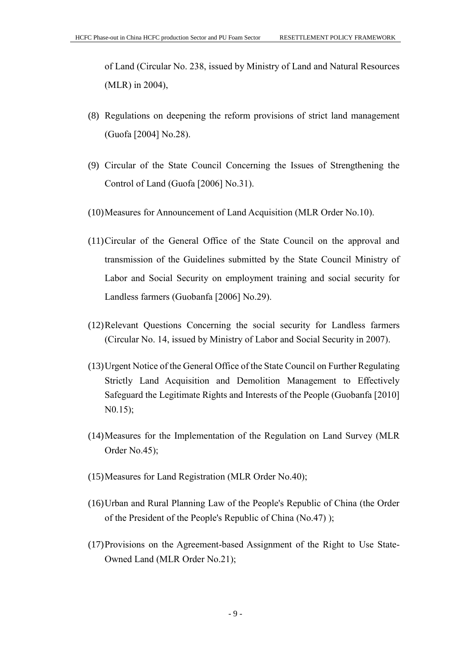of Land (Circular No. 238, issued by Ministry of Land and Natural Resources (MLR) in 2004),

- (8) Regulations on deepening the reform provisions of strict land management (Guofa [2004] No.28).
- (9) Circular of the State Council Concerning the Issues of Strengthening the Control of Land (Guofa [2006] No.31).
- (10)Measures for Announcement of Land Acquisition (MLR Order No.10).
- (11)Circular of the General Office of the State Council on the approval and transmission of the Guidelines submitted by the State Council Ministry of Labor and Social Security on employment training and social security for Landless farmers (Guobanfa [2006] No.29).
- (12)Relevant Questions Concerning the social security for Landless farmers (Circular No. 14, issued by Ministry of Labor and Social Security in 2007).
- (13)Urgent Notice of the General Office of the State Council on Further Regulating Strictly Land Acquisition and Demolition Management to Effectively Safeguard the Legitimate Rights and Interests of the People (Guobanfa [2010] N0.15);
- (14)Measures for the Implementation of the Regulation on Land Survey (MLR Order No.45);
- (15)Measures for Land Registration (MLR Order No.40);
- (16)Urban and Rural Planning Law of the People's Republic of China (the Order of the President of the People's Republic of China (No.47) );
- (17)Provisions on the Agreement-based Assignment of the Right to Use State-Owned Land (MLR Order No.21);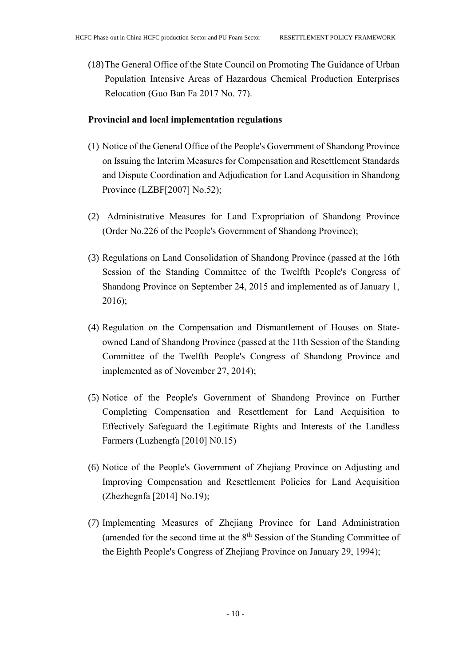(18)The General Office of the State Council on Promoting The Guidance of Urban Population Intensive Areas of Hazardous Chemical Production Enterprises Relocation (Guo Ban Fa 2017 No. 77).

### **Provincial and local implementation regulations**

- (1) Notice of the General Office of the People's Government of Shandong Province on Issuing the Interim Measures for Compensation and Resettlement Standards and Dispute Coordination and Adjudication for Land Acquisition in Shandong Province (LZBF[2007] No.52);
- (2) Administrative Measures for Land Expropriation of Shandong Province (Order No.226 of the People's Government of Shandong Province);
- (3) Regulations on Land Consolidation of Shandong Province (passed at the 16th Session of the Standing Committee of the Twelfth People's Congress of Shandong Province on September 24, 2015 and implemented as of January 1, 2016);
- (4) Regulation on the Compensation and Dismantlement of Houses on Stateowned Land of Shandong Province (passed at the 11th Session of the Standing Committee of the Twelfth People's Congress of Shandong Province and implemented as of November 27, 2014);
- (5) Notice of the People's Government of Shandong Province on Further Completing Compensation and Resettlement for Land Acquisition to Effectively Safeguard the Legitimate Rights and Interests of the Landless Farmers (Luzhengfa [2010] N0.15)
- (6) Notice of the People's Government of Zhejiang Province on Adjusting and Improving Compensation and Resettlement Policies for Land Acquisition (Zhezhegnfa [2014] No.19);
- (7) Implementing Measures of Zhejiang Province for Land Administration (amended for the second time at the 8th Session of the Standing Committee of the Eighth People's Congress of Zhejiang Province on January 29, 1994);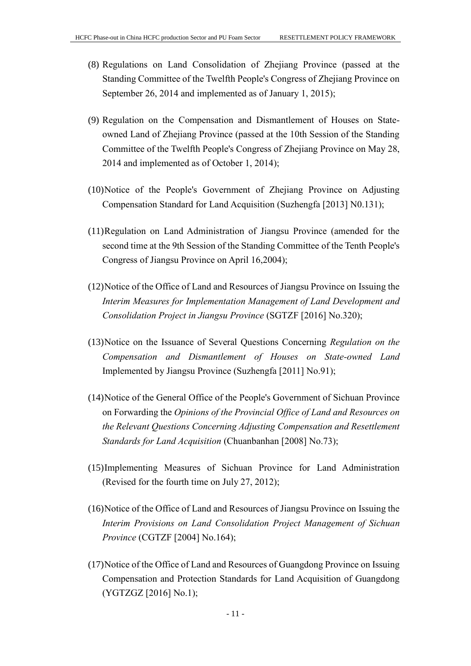- (8) Regulations on Land Consolidation of Zhejiang Province (passed at the Standing Committee of the Twelfth People's Congress of Zhejiang Province on September 26, 2014 and implemented as of January 1, 2015);
- (9) Regulation on the Compensation and Dismantlement of Houses on Stateowned Land of Zhejiang Province (passed at the 10th Session of the Standing Committee of the Twelfth People's Congress of Zhejiang Province on May 28, 2014 and implemented as of October 1, 2014);
- (10)Notice of the People's Government of Zhejiang Province on Adjusting Compensation Standard for Land Acquisition (Suzhengfa [2013] N0.131);
- (11)Regulation on Land Administration of Jiangsu Province (amended for the second time at the 9th Session of the Standing Committee of the Tenth People's Congress of Jiangsu Province on April 16,2004);
- (12)Notice of the Office of Land and Resources of Jiangsu Province on Issuing the *Interim Measures for Implementation Management of Land Development and Consolidation Project in Jiangsu Province* (SGTZF [2016] No.320);
- (13)Notice on the Issuance of Several Questions Concerning *Regulation on the Compensation and Dismantlement of Houses on State-owned Land*  Implemented by Jiangsu Province (Suzhengfa [2011] No.91);
- (14)Notice of the General Office of the People's Government of Sichuan Province on Forwarding the *Opinions of the Provincial Office of Land and Resources on the Relevant Questions Concerning Adjusting Compensation and Resettlement Standards for Land Acquisition* (Chuanbanhan [2008] No.73);
- (15)Implementing Measures of Sichuan Province for Land Administration (Revised for the fourth time on July 27, 2012);
- (16)Notice of the Office of Land and Resources of Jiangsu Province on Issuing the *Interim Provisions on Land Consolidation Project Management of Sichuan Province* (CGTZF [2004] No.164);
- (17)Notice of the Office of Land and Resources of Guangdong Province on Issuing Compensation and Protection Standards for Land Acquisition of Guangdong (YGTZGZ [2016] No.1);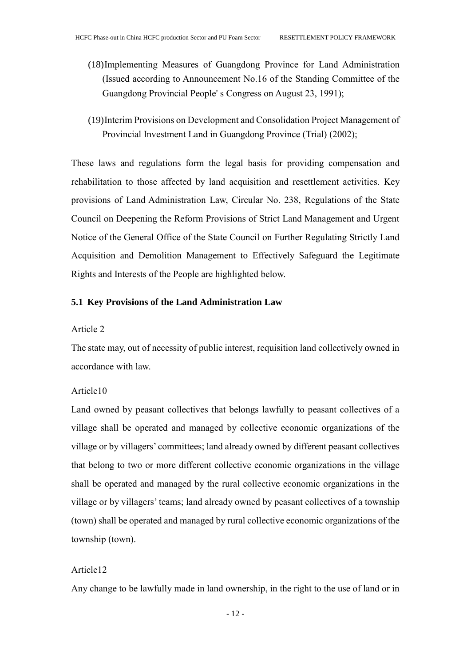- (18)Implementing Measures of Guangdong Province for Land Administration (Issued according to Announcement No.16 of the Standing Committee of the Guangdong Provincial People' s Congress on August 23, 1991);
- (19)Interim Provisions on Development and Consolidation Project Management of Provincial Investment Land in Guangdong Province (Trial) (2002);

These laws and regulations form the legal basis for providing compensation and rehabilitation to those affected by land acquisition and resettlement activities. Key provisions of Land Administration Law, Circular No. 238, Regulations of the State Council on Deepening the Reform Provisions of Strict Land Management and Urgent Notice of the General Office of the State Council on Further Regulating Strictly Land Acquisition and Demolition Management to Effectively Safeguard the Legitimate Rights and Interests of the People are highlighted below.

### <span id="page-14-0"></span>**5.1 Key Provisions of the Land Administration Law**

### Article 2

The state may, out of necessity of public interest, requisition land collectively owned in accordance with law.

### Article10

Land owned by peasant collectives that belongs lawfully to peasant collectives of a village shall be operated and managed by collective economic organizations of the village or by villagers' committees; land already owned by different peasant collectives that belong to two or more different collective economic organizations in the village shall be operated and managed by the rural collective economic organizations in the village or by villagers' teams; land already owned by peasant collectives of a township (town) shall be operated and managed by rural collective economic organizations of the township (town).

### Article12

Any change to be lawfully made in land ownership, in the right to the use of land or in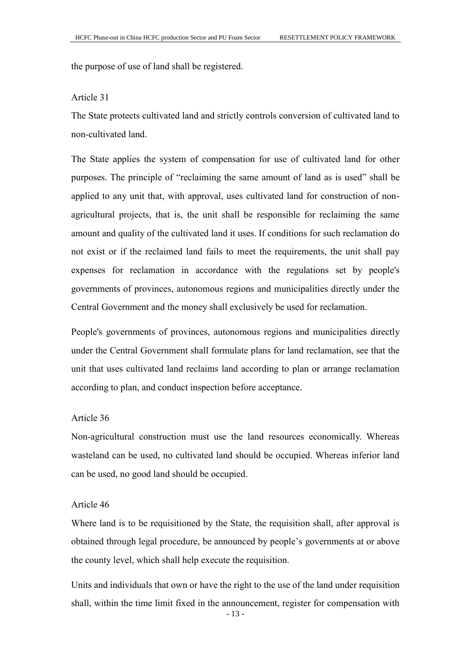the purpose of use of land shall be registered.

### Article 31

The State protects cultivated land and strictly controls conversion of cultivated land to non-cultivated land.

The State applies the system of compensation for use of cultivated land for other purposes. The principle of "reclaiming the same amount of land as is used" shall be applied to any unit that, with approval, uses cultivated land for construction of nonagricultural projects, that is, the unit shall be responsible for reclaiming the same amount and quality of the cultivated land it uses. If conditions for such reclamation do not exist or if the reclaimed land fails to meet the requirements, the unit shall pay expenses for reclamation in accordance with the regulations set by people's governments of provinces, autonomous regions and municipalities directly under the Central Government and the money shall exclusively be used for reclamation.

People's governments of provinces, autonomous regions and municipalities directly under the Central Government shall formulate plans for land reclamation, see that the unit that uses cultivated land reclaims land according to plan or arrange reclamation according to plan, and conduct inspection before acceptance.

### Article 36

Non-agricultural construction must use the land resources economically. Whereas wasteland can be used, no cultivated land should be occupied. Whereas inferior land can be used, no good land should be occupied.

### Article 46

Where land is to be requisitioned by the State, the requisition shall, after approval is obtained through legal procedure, be announced by people's governments at or above the county level, which shall help execute the requisition.

 $-13 -$ Units and individuals that own or have the right to the use of the land under requisition shall, within the time limit fixed in the announcement, register for compensation with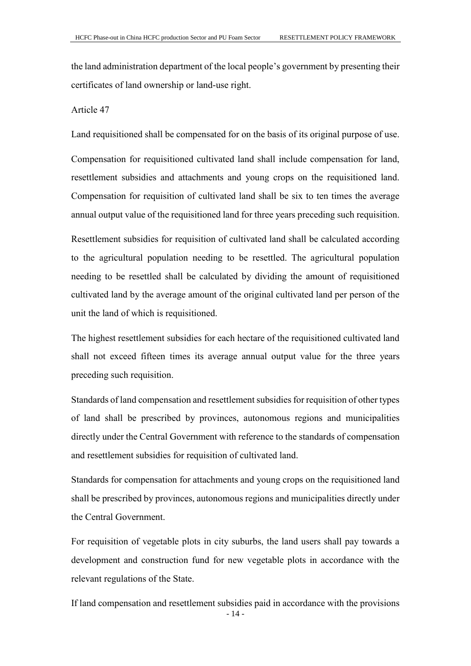the land administration department of the local people's government by presenting their certificates of land ownership or land-use right.

### Article 47

Land requisitioned shall be compensated for on the basis of its original purpose of use.

Compensation for requisitioned cultivated land shall include compensation for land, resettlement subsidies and attachments and young crops on the requisitioned land. Compensation for requisition of cultivated land shall be six to ten times the average annual output value of the requisitioned land for three years preceding such requisition.

Resettlement subsidies for requisition of cultivated land shall be calculated according to the agricultural population needing to be resettled. The agricultural population needing to be resettled shall be calculated by dividing the amount of requisitioned cultivated land by the average amount of the original cultivated land per person of the unit the land of which is requisitioned.

The highest resettlement subsidies for each hectare of the requisitioned cultivated land shall not exceed fifteen times its average annual output value for the three years preceding such requisition.

Standards of land compensation and resettlement subsidies for requisition of other types of land shall be prescribed by provinces, autonomous regions and municipalities directly under the Central Government with reference to the standards of compensation and resettlement subsidies for requisition of cultivated land.

Standards for compensation for attachments and young crops on the requisitioned land shall be prescribed by provinces, autonomous regions and municipalities directly under the Central Government.

For requisition of vegetable plots in city suburbs, the land users shall pay towards a development and construction fund for new vegetable plots in accordance with the relevant regulations of the State.

 $-14-$ If land compensation and resettlement subsidies paid in accordance with the provisions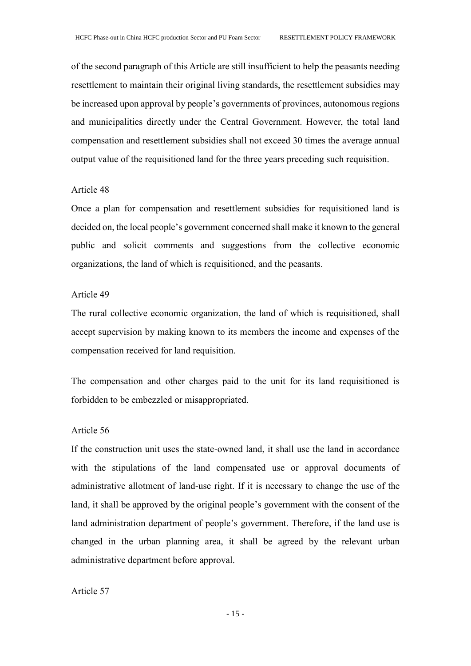of the second paragraph of this Article are still insufficient to help the peasants needing resettlement to maintain their original living standards, the resettlement subsidies may be increased upon approval by people's governments of provinces, autonomous regions and municipalities directly under the Central Government. However, the total land compensation and resettlement subsidies shall not exceed 30 times the average annual output value of the requisitioned land for the three years preceding such requisition.

#### Article 48

Once a plan for compensation and resettlement subsidies for requisitioned land is decided on, the local people's government concerned shall make it known to the general public and solicit comments and suggestions from the collective economic organizations, the land of which is requisitioned, and the peasants.

### Article 49

The rural collective economic organization, the land of which is requisitioned, shall accept supervision by making known to its members the income and expenses of the compensation received for land requisition.

The compensation and other charges paid to the unit for its land requisitioned is forbidden to be embezzled or misappropriated.

### Article 56

If the construction unit uses the state-owned land, it shall use the land in accordance with the stipulations of the land compensated use or approval documents of administrative allotment of land-use right. If it is necessary to change the use of the land, it shall be approved by the original people's government with the consent of the land administration department of people's government. Therefore, if the land use is changed in the urban planning area, it shall be agreed by the relevant urban administrative department before approval.

### Article 57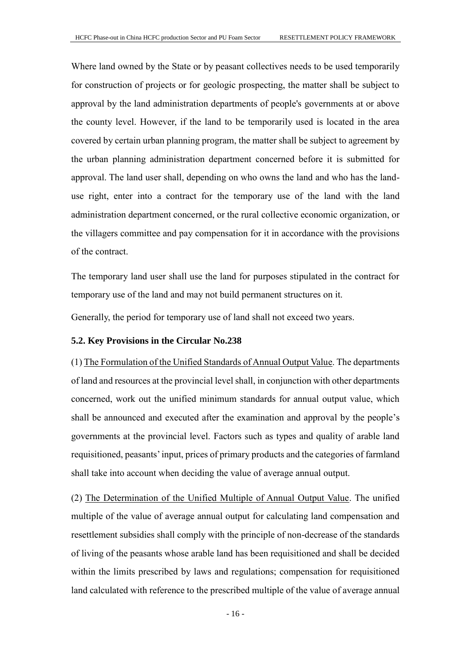Where land owned by the State or by peasant collectives needs to be used temporarily for construction of projects or for geologic prospecting, the matter shall be subject to approval by the land administration departments of people's governments at or above the county level. However, if the land to be temporarily used is located in the area covered by certain urban planning program, the matter shall be subject to agreement by the urban planning administration department concerned before it is submitted for approval. The land user shall, depending on who owns the land and who has the landuse right, enter into a contract for the temporary use of the land with the land administration department concerned, or the rural collective economic organization, or the villagers committee and pay compensation for it in accordance with the provisions of the contract.

The temporary land user shall use the land for purposes stipulated in the contract for temporary use of the land and may not build permanent structures on it.

Generally, the period for temporary use of land shall not exceed two years.

### <span id="page-18-0"></span>**5.2. Key Provisions in the Circular No.238**

(1) The Formulation of the Unified Standards of Annual Output Value. The departments of land and resources at the provincial level shall, in conjunction with other departments concerned, work out the unified minimum standards for annual output value, which shall be announced and executed after the examination and approval by the people's governments at the provincial level. Factors such as types and quality of arable land requisitioned, peasants' input, prices of primary products and the categories of farmland shall take into account when deciding the value of average annual output.

(2) The Determination of the Unified Multiple of Annual Output Value. The unified multiple of the value of average annual output for calculating land compensation and resettlement subsidies shall comply with the principle of non-decrease of the standards of living of the peasants whose arable land has been requisitioned and shall be decided within the limits prescribed by laws and regulations; compensation for requisitioned land calculated with reference to the prescribed multiple of the value of average annual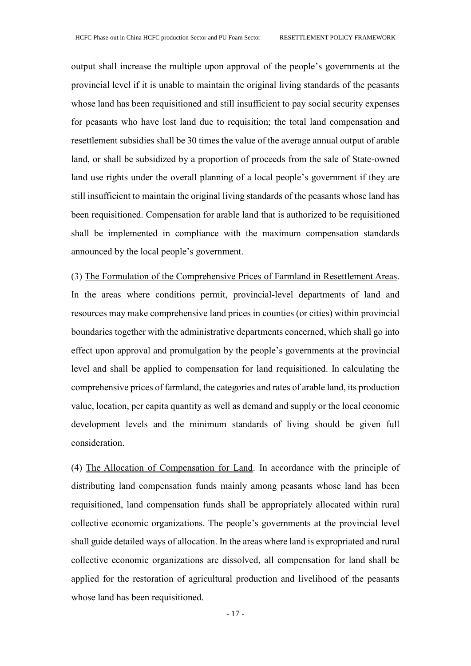output shall increase the multiple upon approval of the people's governments at the provincial level if it is unable to maintain the original living standards of the peasants whose land has been requisitioned and still insufficient to pay social security expenses for peasants who have lost land due to requisition; the total land compensation and resettlement subsidies shall be 30 times the value of the average annual output of arable land, or shall be subsidized by a proportion of proceeds from the sale of State-owned land use rights under the overall planning of a local people's government if they are still insufficient to maintain the original living standards of the peasants whose land has been requisitioned. Compensation for arable land that is authorized to be requisitioned shall be implemented in compliance with the maximum compensation standards announced by the local people's government.

(3) The Formulation of the Comprehensive Prices of Farmland in Resettlement Areas. In the areas where conditions permit, provincial-level departments of land and resources may make comprehensive land prices in counties (or cities) within provincial boundaries together with the administrative departments concerned, which shall go into effect upon approval and promulgation by the people's governments at the provincial level and shall be applied to compensation for land requisitioned. In calculating the comprehensive prices of farmland, the categories and rates of arable land, its production value, location, per capita quantity as well as demand and supply or the local economic development levels and the minimum standards of living should be given full consideration.

(4) The Allocation of Compensation for Land. In accordance with the principle of distributing land compensation funds mainly among peasants whose land has been requisitioned, land compensation funds shall be appropriately allocated within rural collective economic organizations. The people's governments at the provincial level shall guide detailed ways of allocation. In the areas where land is expropriated and rural collective economic organizations are dissolved, all compensation for land shall be applied for the restoration of agricultural production and livelihood of the peasants whose land has been requisitioned.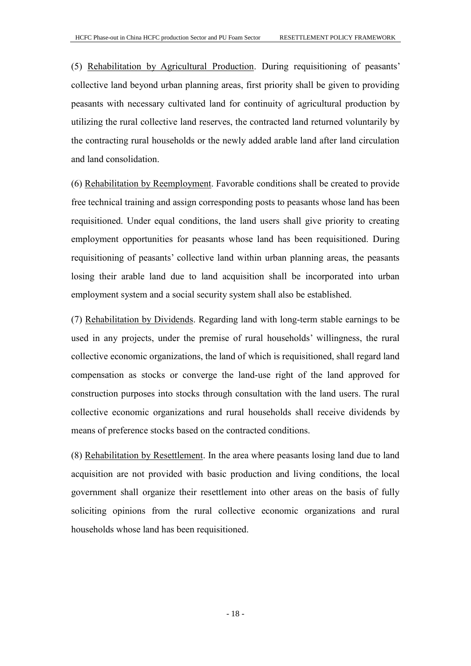(5) Rehabilitation by Agricultural Production. During requisitioning of peasants' collective land beyond urban planning areas, first priority shall be given to providing peasants with necessary cultivated land for continuity of agricultural production by utilizing the rural collective land reserves, the contracted land returned voluntarily by the contracting rural households or the newly added arable land after land circulation and land consolidation.

(6) Rehabilitation by Reemployment. Favorable conditions shall be created to provide free technical training and assign corresponding posts to peasants whose land has been requisitioned. Under equal conditions, the land users shall give priority to creating employment opportunities for peasants whose land has been requisitioned. During requisitioning of peasants' collective land within urban planning areas, the peasants losing their arable land due to land acquisition shall be incorporated into urban employment system and a social security system shall also be established.

(7) Rehabilitation by Dividends. Regarding land with long-term stable earnings to be used in any projects, under the premise of rural households' willingness, the rural collective economic organizations, the land of which is requisitioned, shall regard land compensation as stocks or converge the land-use right of the land approved for construction purposes into stocks through consultation with the land users. The rural collective economic organizations and rural households shall receive dividends by means of preference stocks based on the contracted conditions.

(8) Rehabilitation by Resettlement. In the area where peasants losing land due to land acquisition are not provided with basic production and living conditions, the local government shall organize their resettlement into other areas on the basis of fully soliciting opinions from the rural collective economic organizations and rural households whose land has been requisitioned.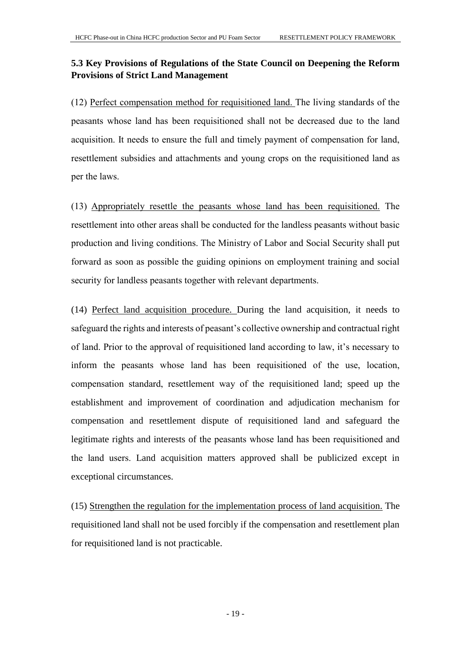### <span id="page-21-0"></span>**5.3 Key Provisions of Regulations of the State Council on Deepening the Reform Provisions of Strict Land Management**

(12) Perfect compensation method for requisitioned land. The living standards of the peasants whose land has been requisitioned shall not be decreased due to the land acquisition. It needs to ensure the full and timely payment of compensation for land, resettlement subsidies and attachments and young crops on the requisitioned land as per the laws.

(13) Appropriately resettle the peasants whose land has been requisitioned. The resettlement into other areas shall be conducted for the landless peasants without basic production and living conditions. The Ministry of Labor and Social Security shall put forward as soon as possible the guiding opinions on employment training and social security for landless peasants together with relevant departments.

(14) Perfect land acquisition procedure. During the land acquisition, it needs to safeguard the rights and interests of peasant's collective ownership and contractual right of land. Prior to the approval of requisitioned land according to law, it's necessary to inform the peasants whose land has been requisitioned of the use, location, compensation standard, resettlement way of the requisitioned land; speed up the establishment and improvement of coordination and adjudication mechanism for compensation and resettlement dispute of requisitioned land and safeguard the legitimate rights and interests of the peasants whose land has been requisitioned and the land users. Land acquisition matters approved shall be publicized except in exceptional circumstances.

(15) Strengthen the regulation for the implementation process of land acquisition. The requisitioned land shall not be used forcibly if the compensation and resettlement plan for requisitioned land is not practicable.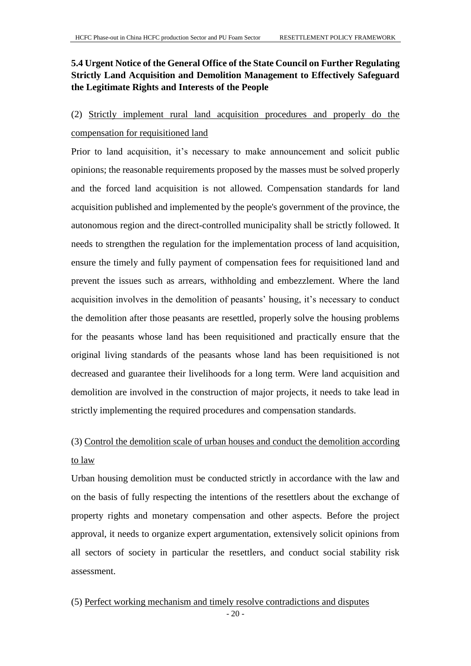### <span id="page-22-0"></span>**5.4 Urgent Notice of the General Office of the State Council on Further Regulating Strictly Land Acquisition and Demolition Management to Effectively Safeguard the Legitimate Rights and Interests of the People**

## (2) Strictly implement rural land acquisition procedures and properly do the compensation for requisitioned land

Prior to land acquisition, it's necessary to make announcement and solicit public opinions; the reasonable requirements proposed by the masses must be solved properly and the forced land acquisition is not allowed. Compensation standards for land acquisition published and implemented by the people's government of the province, the autonomous region and the direct-controlled municipality shall be strictly followed. It needs to strengthen the regulation for the implementation process of land acquisition, ensure the timely and fully payment of compensation fees for requisitioned land and prevent the issues such as arrears, withholding and embezzlement. Where the land acquisition involves in the demolition of peasants' housing, it's necessary to conduct the demolition after those peasants are resettled, properly solve the housing problems for the peasants whose land has been requisitioned and practically ensure that the original living standards of the peasants whose land has been requisitioned is not decreased and guarantee their livelihoods for a long term. Were land acquisition and demolition are involved in the construction of major projects, it needs to take lead in strictly implementing the required procedures and compensation standards.

# (3) Control the demolition scale of urban houses and conduct the demolition according to law

Urban housing demolition must be conducted strictly in accordance with the law and on the basis of fully respecting the intentions of the resettlers about the exchange of property rights and monetary compensation and other aspects. Before the project approval, it needs to organize expert argumentation, extensively solicit opinions from all sectors of society in particular the resettlers, and conduct social stability risk assessment.

```
(5) Perfect working mechanism and timely resolve contradictions and disputes
```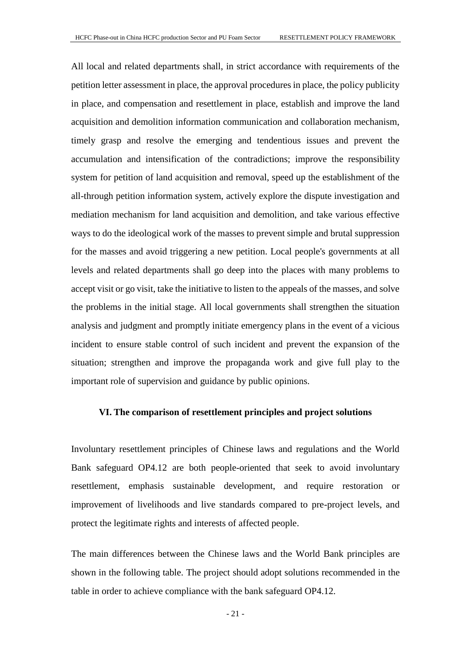All local and related departments shall, in strict accordance with requirements of the petition letter assessment in place, the approval procedures in place, the policy publicity in place, and compensation and resettlement in place, establish and improve the land acquisition and demolition information communication and collaboration mechanism, timely grasp and resolve the emerging and tendentious issues and prevent the accumulation and intensification of the contradictions; improve the responsibility system for petition of land acquisition and removal, speed up the establishment of the all-through petition information system, actively explore the dispute investigation and mediation mechanism for land acquisition and demolition, and take various effective ways to do the ideological work of the masses to prevent simple and brutal suppression for the masses and avoid triggering a new petition. Local people's governments at all levels and related departments shall go deep into the places with many problems to accept visit or go visit, take the initiative to listen to the appeals of the masses, and solve the problems in the initial stage. All local governments shall strengthen the situation analysis and judgment and promptly initiate emergency plans in the event of a vicious incident to ensure stable control of such incident and prevent the expansion of the situation; strengthen and improve the propaganda work and give full play to the important role of supervision and guidance by public opinions.

### <span id="page-23-0"></span>**VI. The comparison of resettlement principles and project solutions**

Involuntary resettlement principles of Chinese laws and regulations and the World Bank safeguard OP4.12 are both people-oriented that seek to avoid involuntary resettlement, emphasis sustainable development, and require restoration or improvement of livelihoods and live standards compared to pre-project levels, and protect the legitimate rights and interests of affected people.

The main differences between the Chinese laws and the World Bank principles are shown in the following table. The project should adopt solutions recommended in the table in order to achieve compliance with the bank safeguard OP4.12.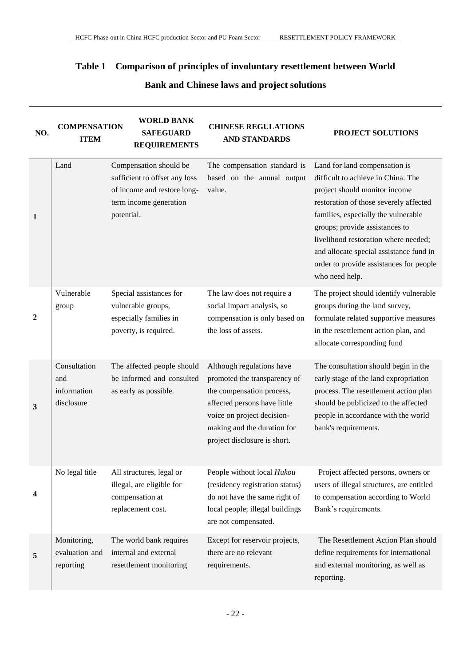### **Table 1 Comparison of principles of involuntary resettlement between World**

### **Bank and Chinese laws and project solutions**

| NO.          | <b>COMPENSATION</b><br><b>ITEM</b>               | <b>WORLD BANK</b><br><b>SAFEGUARD</b><br><b>REQUIREMENTS</b>                                                                   | <b>CHINESE REGULATIONS</b><br><b>AND STANDARDS</b>                                                                                                                                                                  | PROJECT SOLUTIONS                                                                                                                                                                                                                                                                                                                                                       |
|--------------|--------------------------------------------------|--------------------------------------------------------------------------------------------------------------------------------|---------------------------------------------------------------------------------------------------------------------------------------------------------------------------------------------------------------------|-------------------------------------------------------------------------------------------------------------------------------------------------------------------------------------------------------------------------------------------------------------------------------------------------------------------------------------------------------------------------|
| 1            | Land                                             | Compensation should be<br>sufficient to offset any loss<br>of income and restore long-<br>term income generation<br>potential. | The compensation standard is<br>based on the annual output<br>value.                                                                                                                                                | Land for land compensation is<br>difficult to achieve in China. The<br>project should monitor income<br>restoration of those severely affected<br>families, especially the vulnerable<br>groups; provide assistances to<br>livelihood restoration where needed;<br>and allocate special assistance fund in<br>order to provide assistances for people<br>who need help. |
| $\mathbf{2}$ | Vulnerable<br>group                              | Special assistances for<br>vulnerable groups,<br>especially families in<br>poverty, is required.                               | The law does not require a<br>social impact analysis, so<br>compensation is only based on<br>the loss of assets.                                                                                                    | The project should identify vulnerable<br>groups during the land survey,<br>formulate related supportive measures<br>in the resettlement action plan, and<br>allocate corresponding fund                                                                                                                                                                                |
| $\mathbf{3}$ | Consultation<br>and<br>information<br>disclosure | The affected people should<br>be informed and consulted<br>as early as possible.                                               | Although regulations have<br>promoted the transparency of<br>the compensation process,<br>affected persons have little<br>voice on project decision-<br>making and the duration for<br>project disclosure is short. | The consultation should begin in the<br>early stage of the land expropriation<br>process. The resettlement action plan<br>should be publicized to the affected<br>people in accordance with the world<br>bank's requirements.                                                                                                                                           |
| 4            | No legal title                                   | All structures, legal or<br>illegal, are eligible for<br>compensation at<br>replacement cost.                                  | People without local Hukou<br>(residency registration status)<br>do not have the same right of<br>local people; illegal buildings<br>are not compensated.                                                           | Project affected persons, owners or<br>users of illegal structures, are entitled<br>to compensation according to World<br>Bank's requirements.                                                                                                                                                                                                                          |
| 5            | Monitoring,<br>evaluation and<br>reporting       | The world bank requires<br>internal and external<br>resettlement monitoring                                                    | Except for reservoir projects,<br>there are no relevant<br>requirements.                                                                                                                                            | The Resettlement Action Plan should<br>define requirements for international<br>and external monitoring, as well as<br>reporting.                                                                                                                                                                                                                                       |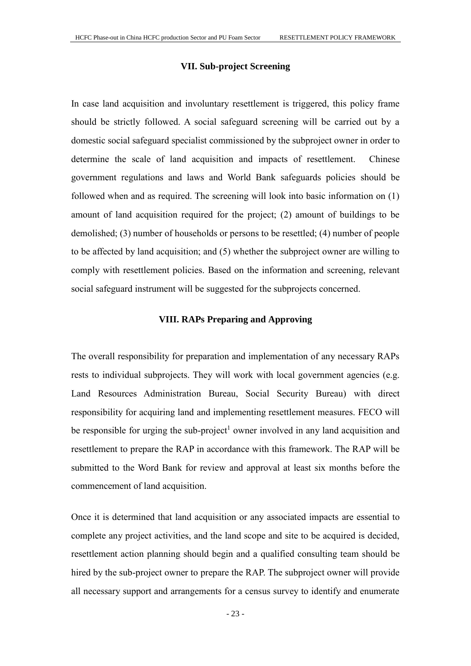### **VII. Sub-project Screening**

<span id="page-25-0"></span>In case land acquisition and involuntary resettlement is triggered, this policy frame should be strictly followed. A social safeguard screening will be carried out by a domestic social safeguard specialist commissioned by the subproject owner in order to determine the scale of land acquisition and impacts of resettlement. Chinese government regulations and laws and World Bank safeguards policies should be followed when and as required. The screening will look into basic information on (1) amount of land acquisition required for the project; (2) amount of buildings to be demolished; (3) number of households or persons to be resettled; (4) number of people to be affected by land acquisition; and (5) whether the subproject owner are willing to comply with resettlement policies. Based on the information and screening, relevant social safeguard instrument will be suggested for the subprojects concerned.

### **VIII. RAPs Preparing and Approving**

<span id="page-25-1"></span>The overall responsibility for preparation and implementation of any necessary RAPs rests to individual subprojects. They will work with local government agencies (e.g. Land Resources Administration Bureau, Social Security Bureau) with direct responsibility for acquiring land and implementing resettlement measures. FECO will be responsible for urging the sub-project<sup>1</sup> owner involved in any land acquisition and resettlement to prepare the RAP in accordance with this framework. The RAP will be submitted to the Word Bank for review and approval at least six months before the commencement of land acquisition.

Once it is determined that land acquisition or any associated impacts are essential to complete any project activities, and the land scope and site to be acquired is decided, resettlement action planning should begin and a qualified consulting team should be hired by the sub-project owner to prepare the RAP. The subproject owner will provide all necessary support and arrangements for a census survey to identify and enumerate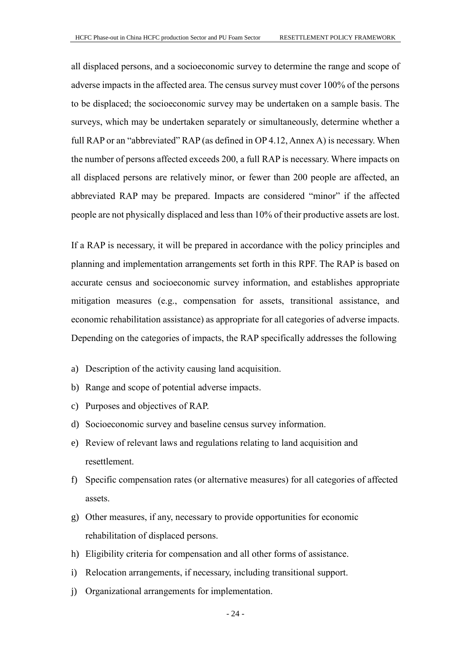all displaced persons, and a socioeconomic survey to determine the range and scope of adverse impacts in the affected area. The census survey must cover 100% of the persons to be displaced; the socioeconomic survey may be undertaken on a sample basis. The surveys, which may be undertaken separately or simultaneously, determine whether a full RAP or an "abbreviated" RAP (as defined in OP 4.12, Annex A) is necessary. When the number of persons affected exceeds 200, a full RAP is necessary. Where impacts on all displaced persons are relatively minor, or fewer than 200 people are affected, an abbreviated RAP may be prepared. Impacts are considered "minor" if the affected people are not physically displaced and less than 10% of their productive assets are lost.

If a RAP is necessary, it will be prepared in accordance with the policy principles and planning and implementation arrangements set forth in this RPF. The RAP is based on accurate census and socioeconomic survey information, and establishes appropriate mitigation measures (e.g., compensation for assets, transitional assistance, and economic rehabilitation assistance) as appropriate for all categories of adverse impacts. Depending on the categories of impacts, the RAP specifically addresses the following

- a) Description of the activity causing land acquisition.
- b) Range and scope of potential adverse impacts.
- c) Purposes and objectives of RAP.
- d) Socioeconomic survey and baseline census survey information.
- e) Review of relevant laws and regulations relating to land acquisition and resettlement.
- f) Specific compensation rates (or alternative measures) for all categories of affected assets.
- g) Other measures, if any, necessary to provide opportunities for economic rehabilitation of displaced persons.
- h) Eligibility criteria for compensation and all other forms of assistance.
- i) Relocation arrangements, if necessary, including transitional support.
- j) Organizational arrangements for implementation.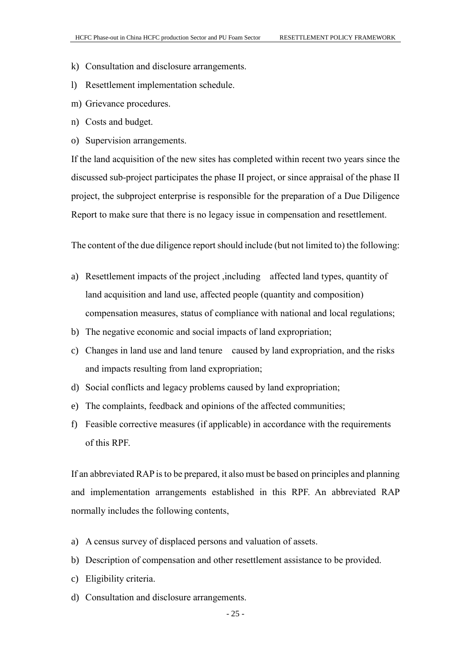- k) Consultation and disclosure arrangements.
- l) Resettlement implementation schedule.
- m) Grievance procedures.
- n) Costs and budget.
- o) Supervision arrangements.

If the land acquisition of the new sites has completed within recent two years since the discussed sub-project participates the phase II project, or since appraisal of the phase II project, the subproject enterprise is responsible for the preparation of a Due Diligence Report to make sure that there is no legacy issue in compensation and resettlement.

The content of the due diligence report should include (but not limited to) the following:

- a) Resettlement impacts of the project ,including affected land types, quantity of land acquisition and land use, affected people (quantity and composition) compensation measures, status of compliance with national and local regulations;
- b) The negative economic and social impacts of land expropriation;
- c) Changes in land use and land tenure caused by land expropriation, and the risks and impacts resulting from land expropriation;
- d) Social conflicts and legacy problems caused by land expropriation;
- e) The complaints, feedback and opinions of the affected communities;
- f) Feasible corrective measures (if applicable) in accordance with the requirements of this RPF.

If an abbreviated RAP is to be prepared, it also must be based on principles and planning and implementation arrangements established in this RPF. An abbreviated RAP normally includes the following contents,

- a) A census survey of displaced persons and valuation of assets.
- b) Description of compensation and other resettlement assistance to be provided.
- c) Eligibility criteria.
- d) Consultation and disclosure arrangements.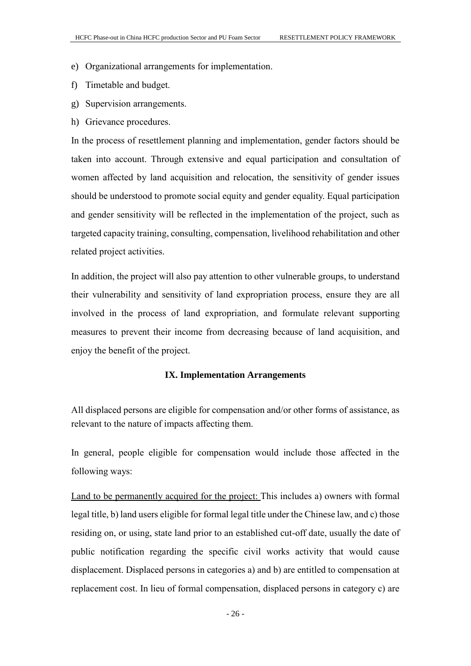- e) Organizational arrangements for implementation.
- f) Timetable and budget.
- g) Supervision arrangements.
- h) Grievance procedures.

In the process of resettlement planning and implementation, gender factors should be taken into account. Through extensive and equal participation and consultation of women affected by land acquisition and relocation, the sensitivity of gender issues should be understood to promote social equity and gender equality. Equal participation and gender sensitivity will be reflected in the implementation of the project, such as targeted capacity training, consulting, compensation, livelihood rehabilitation and other related project activities.

In addition, the project will also pay attention to other vulnerable groups, to understand their vulnerability and sensitivity of land expropriation process, ensure they are all involved in the process of land expropriation, and formulate relevant supporting measures to prevent their income from decreasing because of land acquisition, and enjoy the benefit of the project.

### **IX. Implementation Arrangements**

<span id="page-28-0"></span>All displaced persons are eligible for compensation and/or other forms of assistance, as relevant to the nature of impacts affecting them.

In general, people eligible for compensation would include those affected in the following ways:

Land to be permanently acquired for the project: This includes a) owners with formal legal title, b) land users eligible for formal legal title under the Chinese law, and c) those residing on, or using, state land prior to an established cut-off date, usually the date of public notification regarding the specific civil works activity that would cause displacement. Displaced persons in categories a) and b) are entitled to compensation at replacement cost. In lieu of formal compensation, displaced persons in category c) are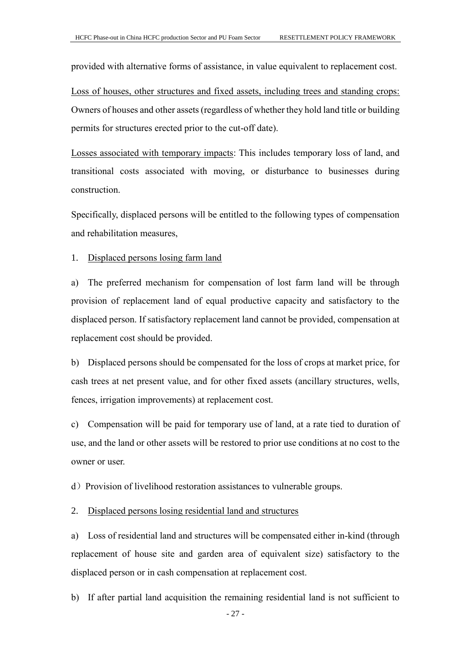provided with alternative forms of assistance, in value equivalent to replacement cost.

Loss of houses, other structures and fixed assets, including trees and standing crops: Owners of houses and other assets (regardless of whether they hold land title or building permits for structures erected prior to the cut-off date).

Losses associated with temporary impacts: This includes temporary loss of land, and transitional costs associated with moving, or disturbance to businesses during construction.

Specifically, displaced persons will be entitled to the following types of compensation and rehabilitation measures,

### 1. Displaced persons losing farm land

a) The preferred mechanism for compensation of lost farm land will be through provision of replacement land of equal productive capacity and satisfactory to the displaced person. If satisfactory replacement land cannot be provided, compensation at replacement cost should be provided.

b) Displaced persons should be compensated for the loss of crops at market price, for cash trees at net present value, and for other fixed assets (ancillary structures, wells, fences, irrigation improvements) at replacement cost.

c) Compensation will be paid for temporary use of land, at a rate tied to duration of use, and the land or other assets will be restored to prior use conditions at no cost to the owner or user.

d) Provision of livelihood restoration assistances to vulnerable groups.

2. Displaced persons losing residential land and structures

a) Loss of residential land and structures will be compensated either in-kind (through replacement of house site and garden area of equivalent size) satisfactory to the displaced person or in cash compensation at replacement cost.

b) If after partial land acquisition the remaining residential land is not sufficient to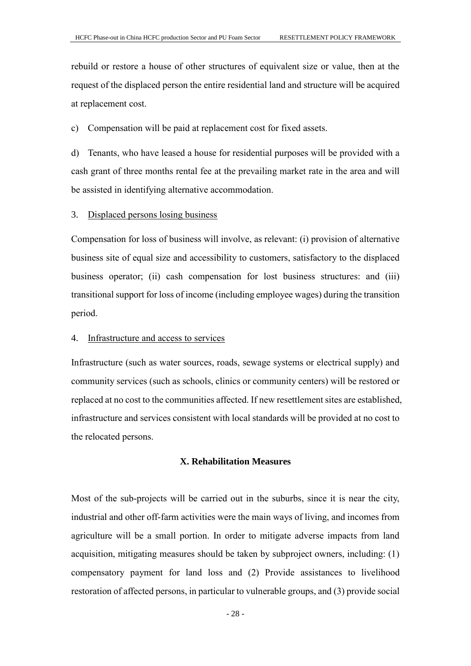rebuild or restore a house of other structures of equivalent size or value, then at the request of the displaced person the entire residential land and structure will be acquired at replacement cost.

c) Compensation will be paid at replacement cost for fixed assets.

d) Tenants, who have leased a house for residential purposes will be provided with a cash grant of three months rental fee at the prevailing market rate in the area and will be assisted in identifying alternative accommodation.

### 3. Displaced persons losing business

Compensation for loss of business will involve, as relevant: (i) provision of alternative business site of equal size and accessibility to customers, satisfactory to the displaced business operator; (ii) cash compensation for lost business structures: and (iii) transitional support for loss of income (including employee wages) during the transition period.

### 4. Infrastructure and access to services

Infrastructure (such as water sources, roads, sewage systems or electrical supply) and community services (such as schools, clinics or community centers) will be restored or replaced at no cost to the communities affected. If new resettlement sites are established, infrastructure and services consistent with local standards will be provided at no cost to the relocated persons.

### **X. Rehabilitation Measures**

<span id="page-30-0"></span>Most of the sub-projects will be carried out in the suburbs, since it is near the city, industrial and other off-farm activities were the main ways of living, and incomes from agriculture will be a small portion. In order to mitigate adverse impacts from land acquisition, mitigating measures should be taken by subproject owners, including: (1) compensatory payment for land loss and (2) Provide assistances to livelihood restoration of affected persons, in particular to vulnerable groups, and (3) provide social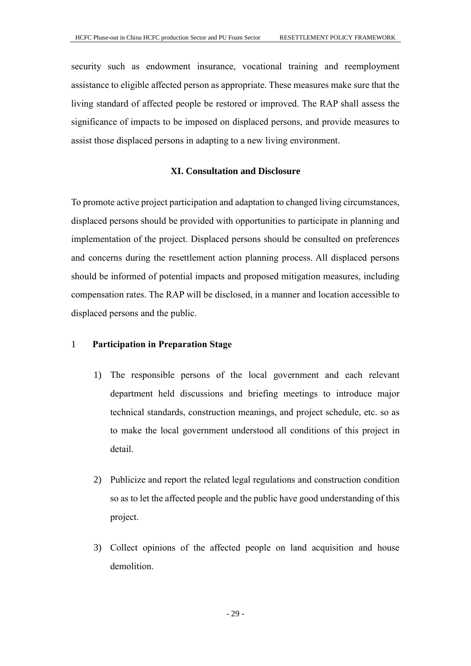security such as [endowment](app:ds:endowment) [insurance,](app:ds:insurance) vocational training and reemployment assistance to eligible affected person as appropriate. These measures make sure that the living standard of affected people be restored or improved. The RAP shall assess the significance of impacts to be imposed on displaced persons, and provide measures to assist those displaced persons in adapting to a new living environment.

### **XI. Consultation and Disclosure**

<span id="page-31-0"></span>To promote active project participation and adaptation to changed living circumstances, displaced persons should be provided with opportunities to participate in planning and implementation of the project. Displaced persons should be consulted on preferences and concerns during the resettlement action planning process. All displaced persons should be informed of potential impacts and proposed mitigation measures, including compensation rates. The RAP will be disclosed, in a manner and location accessible to displaced persons and the public.

### 1 **Participation in Preparation Stage**

- 1) The responsible persons of the local government and each relevant department held discussions and briefing meetings to introduce major technical standards, construction meanings, and project schedule, etc. so as to make the local government understood all conditions of this project in detail.
- 2) Publicize and report the related legal regulations and construction condition so as to let the affected people and the public have good understanding of this project.
- 3) Collect opinions of the affected people on land acquisition and house demolition.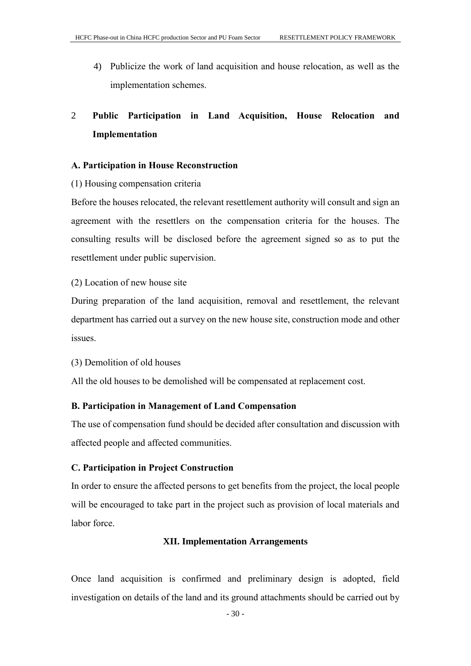4) Publicize the work of land acquisition and house relocation, as well as the implementation schemes.

# 2 **Public Participation in Land Acquisition, House Relocation and Implementation**

### **A. Participation in House Reconstruction**

### (1) Housing compensation criteria

Before the houses relocated, the relevant resettlement authority will consult and sign an agreement with the resettlers on the compensation criteria for the houses. The consulting results will be disclosed before the agreement signed so as to put the resettlement under public supervision.

(2) Location of new house site

During preparation of the land acquisition, removal and resettlement, the relevant department has carried out a survey on the new house site, construction mode and other issues.

(3) Demolition of old houses

All the old houses to be demolished will be compensated at replacement cost.

### **B. Participation in Management of Land Compensation**

The use of compensation fund should be decided after consultation and discussion with affected people and affected communities.

### **C. Participation in Project Construction**

In order to ensure the affected persons to get benefits from the project, the local people will be encouraged to take part in the project such as provision of local materials and labor force

### **XII. Implementation Arrangements**

<span id="page-32-0"></span>Once land acquisition is confirmed and preliminary design is adopted, field investigation on details of the land and its ground attachments should be carried out by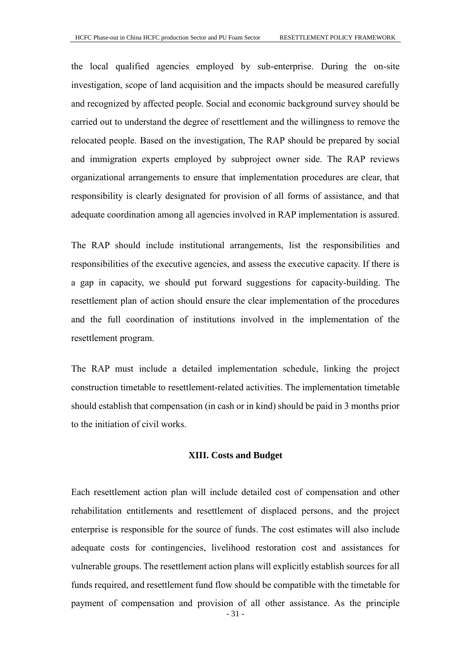the local qualified agencies employed by sub-enterprise. During the on-site investigation, scope of land acquisition and the impacts should be measured carefully and recognized by affected people. Social and economic background survey should be carried out to understand the degree of resettlement and the willingness to remove the relocated people. Based on the investigation, The RAP should be prepared by social and immigration experts employed by subproject owner side. The RAP reviews organizational arrangements to ensure that implementation procedures are clear, that responsibility is clearly designated for provision of all forms of assistance, and that adequate coordination among all agencies involved in RAP implementation is assured.

The RAP should include institutional arrangements, list the responsibilities and responsibilities of the executive agencies, and assess the executive capacity. If there is a gap in capacity, we should put forward suggestions for capacity-building. The resettlement plan of action should ensure the clear implementation of the procedures and the full coordination of institutions involved in the implementation of the resettlement program.

The RAP must include a detailed implementation schedule, linking the project construction timetable to resettlement-related activities. The implementation timetable should establish that compensation (in cash or in kind) should be paid in 3 months prior to the initiation of civil works.

### **XIII. Costs and Budget**

<span id="page-33-0"></span>- 31 - Each resettlement action plan will include detailed cost of compensation and other rehabilitation entitlements and resettlement of displaced persons, and the project enterprise is responsible for the source of funds. The cost estimates will also include adequate costs for contingencies, livelihood restoration cost and assistances for vulnerable groups. The resettlement action plans will explicitly establish sources for all funds required, and resettlement fund flow should be compatible with the timetable for payment of compensation and provision of all other assistance. As the principle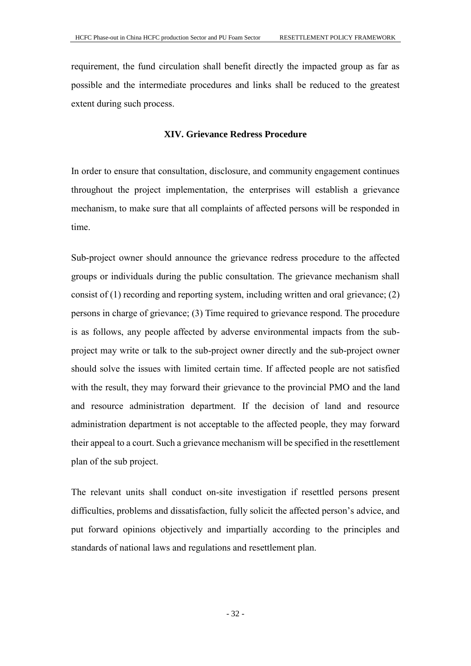requirement, the fund circulation shall benefit directly the impacted group as far as possible and the intermediate procedures and links shall be reduced to the greatest extent during such process.

### **XIV. Grievance Redress Procedure**

<span id="page-34-0"></span>In order to ensure that consultation, disclosure, and community engagement continues throughout the project implementation, the enterprises will establish a grievance mechanism, to make sure that all complaints of affected persons will be responded in time.

Sub-project owner should announce the grievance redress procedure to the affected groups or individuals during the public consultation. The grievance mechanism shall consist of  $(1)$  recording and reporting system, including written and oral grievance;  $(2)$ persons in charge of grievance; (3) Time required to grievance respond. The procedure is as follows, any people affected by adverse environmental impacts from the subproject may write or talk to the sub-project owner directly and the sub-project owner should solve the issues with limited certain time. If affected people are not satisfied with the result, they may forward their grievance to the provincial PMO and the land and resource administration department. If the decision of land and resource administration department is not acceptable to the affected people, they may forward their appeal to a court. Such a grievance mechanism will be specified in the resettlement plan of the sub project.

The relevant units shall conduct on-site investigation if resettled persons present difficulties, problems and dissatisfaction, fully solicit the affected person's advice, and put forward opinions objectively and impartially according to the principles and standards of national laws and regulations and resettlement plan.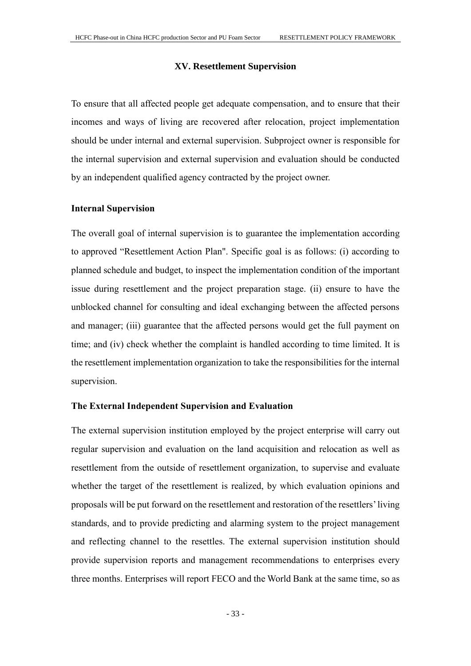#### **XV. Resettlement Supervision**

<span id="page-35-0"></span>To ensure that all affected people get adequate compensation, and to ensure that their incomes and ways of living are recovered after relocation, project implementation should be under internal and external supervision. Subproject owner is responsible for the internal supervision and external supervision and evaluation should be conducted by an independent qualified agency contracted by the project owner.

#### **Internal Supervision**

The overall goal of internal supervision is to guarantee the implementation according to approved "Resettlement Action Plan". Specific goal is as follows: (i) according to planned schedule and budget, to inspect the implementation condition of the important issue during resettlement and the project preparation stage. (ii) ensure to have the unblocked channel for consulting and ideal exchanging between the affected persons and manager; (iii) guarantee that the affected persons would get the full payment on time; and (iv) check whether the complaint is handled according to time limited. It is the resettlement implementation organization to take the responsibilities for the internal supervision.

#### **The External Independent Supervision and Evaluation**

The external supervision institution employed by the project enterprise will carry out regular supervision and evaluation on the land acquisition and relocation as well as resettlement from the outside of resettlement organization, to supervise and evaluate whether the target of the resettlement is realized, by which evaluation opinions and proposals will be put forward on the resettlement and restoration of the resettlers' living standards, and to provide predicting and alarming system to the project management and reflecting channel to the resettles. The external supervision institution should provide supervision reports and management recommendations to enterprises every three months. Enterprises will report FECO and the World Bank at the same time, so as